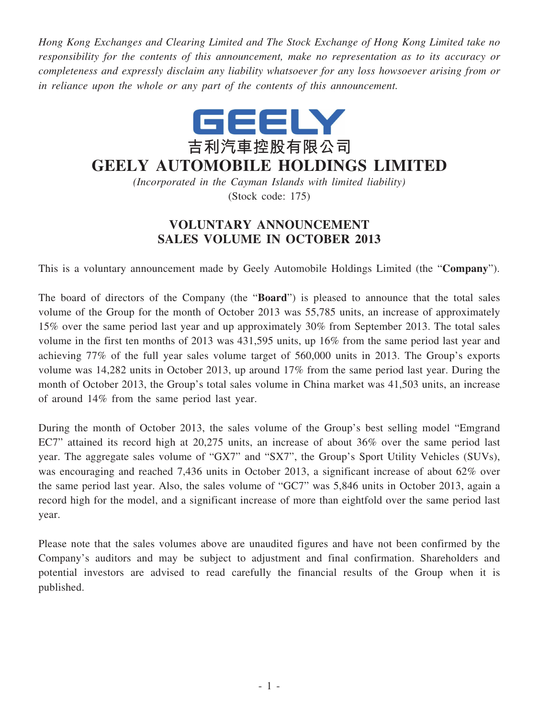*Hong Kong Exchanges and Clearing Limited and The Stock Exchange of Hong Kong Limited take no responsibility for the contents of this announcement, make no representation as to its accuracy or completeness and expressly disclaim any liability whatsoever for any loss howsoever arising from or in reliance upon the whole or any part of the contents of this announcement.*



## **GEELY AUTOMOBILE HOLDINGS LIMITED**

*(Incorporated in the Cayman Islands with limited liability)* (Stock code: 175)

## **VOLUNTARY ANNOUNCEMENT SALES VOLUME IN OCTOBER 2013**

This is a voluntary announcement made by Geely Automobile Holdings Limited (the "**Company**").

The board of directors of the Company (the "**Board**") is pleased to announce that the total sales volume of the Group for the month of October 2013 was 55,785 units, an increase of approximately 15% over the same period last year and up approximately 30% from September 2013. The total sales volume in the first ten months of 2013 was 431,595 units, up 16% from the same period last year and achieving 77% of the full year sales volume target of 560,000 units in 2013. The Group's exports volume was 14,282 units in October 2013, up around 17% from the same period last year. During the month of October 2013, the Group's total sales volume in China market was 41,503 units, an increase of around 14% from the same period last year.

During the month of October 2013, the sales volume of the Group's best selling model "Emgrand EC7" attained its record high at 20,275 units, an increase of about 36% over the same period last year. The aggregate sales volume of "GX7" and "SX7", the Group's Sport Utility Vehicles (SUVs), was encouraging and reached 7,436 units in October 2013, a significant increase of about 62% over the same period last year. Also, the sales volume of "GC7" was 5,846 units in October 2013, again a record high for the model, and a significant increase of more than eightfold over the same period last year.

Please note that the sales volumes above are unaudited figures and have not been confirmed by the Company's auditors and may be subject to adjustment and final confirmation. Shareholders and potential investors are advised to read carefully the financial results of the Group when it is published.